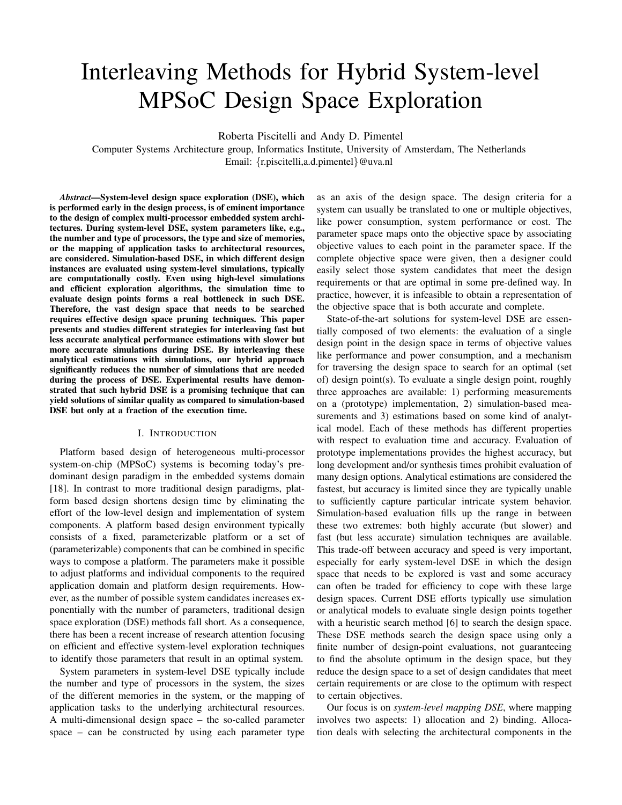# Interleaving Methods for Hybrid System-level MPSoC Design Space Exploration

Roberta Piscitelli and Andy D. Pimentel

Computer Systems Architecture group, Informatics Institute, University of Amsterdam, The Netherlands Email: {r.piscitelli,a.d.pimentel}@uva.nl

*Abstract*—System-level design space exploration (DSE), which is performed early in the design process, is of eminent importance to the design of complex multi-processor embedded system architectures. During system-level DSE, system parameters like, e.g., the number and type of processors, the type and size of memories, or the mapping of application tasks to architectural resources, are considered. Simulation-based DSE, in which different design instances are evaluated using system-level simulations, typically are computationally costly. Even using high-level simulations and efficient exploration algorithms, the simulation time to evaluate design points forms a real bottleneck in such DSE. Therefore, the vast design space that needs to be searched requires effective design space pruning techniques. This paper presents and studies different strategies for interleaving fast but less accurate analytical performance estimations with slower but more accurate simulations during DSE. By interleaving these analytical estimations with simulations, our hybrid approach significantly reduces the number of simulations that are needed during the process of DSE. Experimental results have demonstrated that such hybrid DSE is a promising technique that can yield solutions of similar quality as compared to simulation-based DSE but only at a fraction of the execution time.

#### I. INTRODUCTION

Platform based design of heterogeneous multi-processor system-on-chip (MPSoC) systems is becoming today's predominant design paradigm in the embedded systems domain [18]. In contrast to more traditional design paradigms, platform based design shortens design time by eliminating the effort of the low-level design and implementation of system components. A platform based design environment typically consists of a fixed, parameterizable platform or a set of (parameterizable) components that can be combined in specific ways to compose a platform. The parameters make it possible to adjust platforms and individual components to the required application domain and platform design requirements. However, as the number of possible system candidates increases exponentially with the number of parameters, traditional design space exploration (DSE) methods fall short. As a consequence, there has been a recent increase of research attention focusing on efficient and effective system-level exploration techniques to identify those parameters that result in an optimal system.

System parameters in system-level DSE typically include the number and type of processors in the system, the sizes of the different memories in the system, or the mapping of application tasks to the underlying architectural resources. A multi-dimensional design space – the so-called parameter space – can be constructed by using each parameter type

as an axis of the design space. The design criteria for a system can usually be translated to one or multiple objectives, like power consumption, system performance or cost. The parameter space maps onto the objective space by associating objective values to each point in the parameter space. If the complete objective space were given, then a designer could easily select those system candidates that meet the design requirements or that are optimal in some pre-defined way. In practice, however, it is infeasible to obtain a representation of the objective space that is both accurate and complete.

State-of-the-art solutions for system-level DSE are essentially composed of two elements: the evaluation of a single design point in the design space in terms of objective values like performance and power consumption, and a mechanism for traversing the design space to search for an optimal (set of) design point(s). To evaluate a single design point, roughly three approaches are available: 1) performing measurements on a (prototype) implementation, 2) simulation-based measurements and 3) estimations based on some kind of analytical model. Each of these methods has different properties with respect to evaluation time and accuracy. Evaluation of prototype implementations provides the highest accuracy, but long development and/or synthesis times prohibit evaluation of many design options. Analytical estimations are considered the fastest, but accuracy is limited since they are typically unable to sufficiently capture particular intricate system behavior. Simulation-based evaluation fills up the range in between these two extremes: both highly accurate (but slower) and fast (but less accurate) simulation techniques are available. This trade-off between accuracy and speed is very important, especially for early system-level DSE in which the design space that needs to be explored is vast and some accuracy can often be traded for efficiency to cope with these large design spaces. Current DSE efforts typically use simulation or analytical models to evaluate single design points together with a heuristic search method [6] to search the design space. These DSE methods search the design space using only a finite number of design-point evaluations, not guaranteeing to find the absolute optimum in the design space, but they reduce the design space to a set of design candidates that meet certain requirements or are close to the optimum with respect to certain objectives.

Our focus is on *system-level mapping DSE*, where mapping involves two aspects: 1) allocation and 2) binding. Allocation deals with selecting the architectural components in the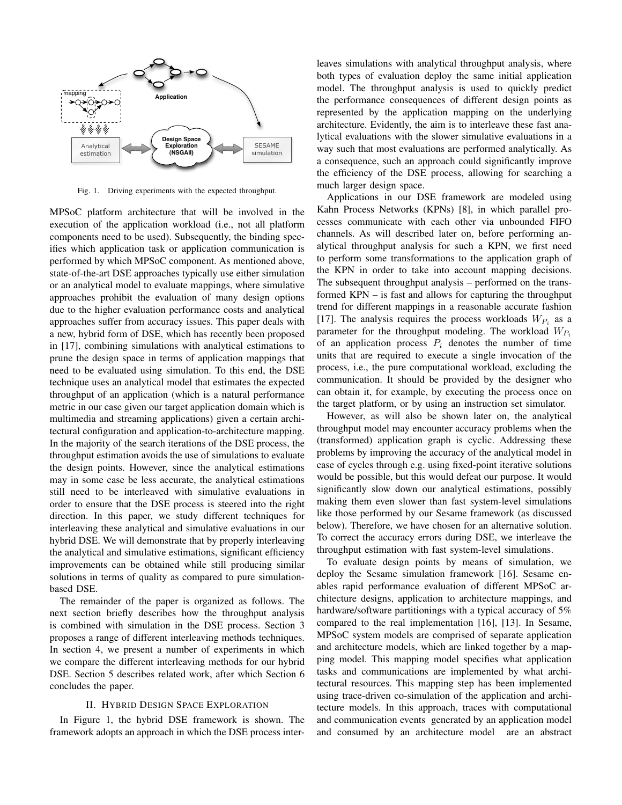

Fig. 1. Driving experiments with the expected throughput.

MPSoC platform architecture that will be involved in the execution of the application workload (i.e., not all platform components need to be used). Subsequently, the binding specifies which application task or application communication is performed by which MPSoC component. As mentioned above, state-of-the-art DSE approaches typically use either simulation or an analytical model to evaluate mappings, where simulative approaches prohibit the evaluation of many design options due to the higher evaluation performance costs and analytical approaches suffer from accuracy issues. This paper deals with a new, hybrid form of DSE, which has recently been proposed in [17], combining simulations with analytical estimations to prune the design space in terms of application mappings that need to be evaluated using simulation. To this end, the DSE technique uses an analytical model that estimates the expected throughput of an application (which is a natural performance metric in our case given our target application domain which is multimedia and streaming applications) given a certain architectural configuration and application-to-architecture mapping. In the majority of the search iterations of the DSE process, the throughput estimation avoids the use of simulations to evaluate the design points. However, since the analytical estimations may in some case be less accurate, the analytical estimations still need to be interleaved with simulative evaluations in order to ensure that the DSE process is steered into the right direction. In this paper, we study different techniques for interleaving these analytical and simulative evaluations in our hybrid DSE. We will demonstrate that by properly interleaving the analytical and simulative estimations, significant efficiency improvements can be obtained while still producing similar solutions in terms of quality as compared to pure simulationbased DSE.

The remainder of the paper is organized as follows. The next section briefly describes how the throughput analysis is combined with simulation in the DSE process. Section 3 proposes a range of different interleaving methods techniques. In section 4, we present a number of experiments in which we compare the different interleaving methods for our hybrid DSE. Section 5 describes related work, after which Section 6 concludes the paper.

## II. HYBRID DESIGN SPACE EXPLORATION

In Figure 1, the hybrid DSE framework is shown. The framework adopts an approach in which the DSE process interleaves simulations with analytical throughput analysis, where both types of evaluation deploy the same initial application model. The throughput analysis is used to quickly predict the performance consequences of different design points as represented by the application mapping on the underlying architecture. Evidently, the aim is to interleave these fast analytical evaluations with the slower simulative evaluations in a way such that most evaluations are performed analytically. As a consequence, such an approach could significantly improve the efficiency of the DSE process, allowing for searching a much larger design space.

Applications in our DSE framework are modeled using Kahn Process Networks (KPNs) [8], in which parallel processes communicate with each other via unbounded FIFO channels. As will described later on, before performing analytical throughput analysis for such a KPN, we first need to perform some transformations to the application graph of the KPN in order to take into account mapping decisions. The subsequent throughput analysis – performed on the transformed KPN – is fast and allows for capturing the throughput trend for different mappings in a reasonable accurate fashion [17]. The analysis requires the process workloads  $W_{P_i}$  as a parameter for the throughput modeling. The workload  $W_{P_i}$ of an application process  $P_i$  denotes the number of time units that are required to execute a single invocation of the process, i.e., the pure computational workload, excluding the communication. It should be provided by the designer who can obtain it, for example, by executing the process once on the target platform, or by using an instruction set simulator.

However, as will also be shown later on, the analytical throughput model may encounter accuracy problems when the (transformed) application graph is cyclic. Addressing these problems by improving the accuracy of the analytical model in case of cycles through e.g. using fixed-point iterative solutions would be possible, but this would defeat our purpose. It would significantly slow down our analytical estimations, possibly making them even slower than fast system-level simulations like those performed by our Sesame framework (as discussed below). Therefore, we have chosen for an alternative solution. To correct the accuracy errors during DSE, we interleave the throughput estimation with fast system-level simulations.

To evaluate design points by means of simulation, we deploy the Sesame simulation framework [16]. Sesame enables rapid performance evaluation of different MPSoC architecture designs, application to architecture mappings, and hardware/software partitionings with a typical accuracy of 5% compared to the real implementation [16], [13]. In Sesame, MPSoC system models are comprised of separate application and architecture models, which are linked together by a mapping model. This mapping model specifies what application tasks and communications are implemented by what architectural resources. This mapping step has been implemented using trace-driven co-simulation of the application and architecture models. In this approach, traces with computational and communication events generated by an application model and consumed by an architecture model are an abstract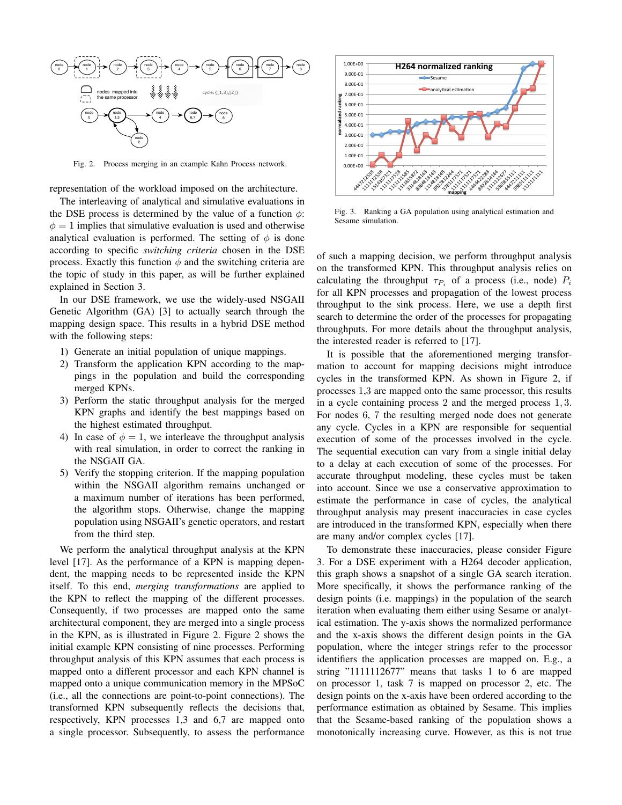

Fig. 2. Process merging in an example Kahn Process network.

representation of the workload imposed on the architecture.

The interleaving of analytical and simulative evaluations in the DSE process is determined by the value of a function  $\phi$ :  $\phi = 1$  implies that simulative evaluation is used and otherwise analytical evaluation is performed. The setting of  $\phi$  is done according to specific *switching criteria* chosen in the DSE process. Exactly this function  $\phi$  and the switching criteria are the topic of study in this paper, as will be further explained explained in Section 3.

In our DSE framework, we use the widely-used NSGAII Genetic Algorithm (GA) [3] to actually search through the mapping design space. This results in a hybrid DSE method with the following steps:

- 1) Generate an initial population of unique mappings.
- 2) Transform the application KPN according to the mappings in the population and build the corresponding merged KPNs.
- 3) Perform the static throughput analysis for the merged KPN graphs and identify the best mappings based on the highest estimated throughput.
- 4) In case of  $\phi = 1$ , we interleave the throughput analysis with real simulation, in order to correct the ranking in the NSGAII GA.
- 5) Verify the stopping criterion. If the mapping population within the NSGAII algorithm remains unchanged or a maximum number of iterations has been performed, the algorithm stops. Otherwise, change the mapping population using NSGAII's genetic operators, and restart from the third step.

We perform the analytical throughput analysis at the KPN level [17]. As the performance of a KPN is mapping dependent, the mapping needs to be represented inside the KPN itself. To this end, *merging transformations* are applied to the KPN to reflect the mapping of the different processes. Consequently, if two processes are mapped onto the same architectural component, they are merged into a single process in the KPN, as is illustrated in Figure 2. Figure 2 shows the initial example KPN consisting of nine processes. Performing throughput analysis of this KPN assumes that each process is mapped onto a different processor and each KPN channel is mapped onto a unique communication memory in the MPSoC (i.e., all the connections are point-to-point connections). The transformed KPN subsequently reflects the decisions that, respectively, KPN processes 1,3 and 6,7 are mapped onto a single processor. Subsequently, to assess the performance



Fig. 3. Ranking a GA population using analytical estimation and Sesame simulation.

of such a mapping decision, we perform throughput analysis on the transformed KPN. This throughput analysis relies on calculating the throughput  $\tau_{P_i}$  of a process (i.e., node)  $P_i$ for all KPN processes and propagation of the lowest process throughput to the sink process. Here, we use a depth first search to determine the order of the processes for propagating throughputs. For more details about the throughput analysis, the interested reader is referred to [17].

It is possible that the aforementioned merging transformation to account for mapping decisions might introduce cycles in the transformed KPN. As shown in Figure 2, if processes 1,3 are mapped onto the same processor, this results in a cycle containing process 2 and the merged process 1, 3. For nodes 6, 7 the resulting merged node does not generate any cycle. Cycles in a KPN are responsible for sequential execution of some of the processes involved in the cycle. The sequential execution can vary from a single initial delay to a delay at each execution of some of the processes. For accurate throughput modeling, these cycles must be taken into account. Since we use a conservative approximation to estimate the performance in case of cycles, the analytical throughput analysis may present inaccuracies in case cycles are introduced in the transformed KPN, especially when there are many and/or complex cycles [17].

To demonstrate these inaccuracies, please consider Figure 3. For a DSE experiment with a H264 decoder application, this graph shows a snapshot of a single GA search iteration. More specifically, it shows the performance ranking of the design points (i.e. mappings) in the population of the search iteration when evaluating them either using Sesame or analytical estimation. The y-axis shows the normalized performance and the x-axis shows the different design points in the GA population, where the integer strings refer to the processor identifiers the application processes are mapped on. E.g., a string "1111112677" means that tasks 1 to 6 are mapped on processor 1, task 7 is mapped on processor 2, etc. The design points on the x-axis have been ordered according to the performance estimation as obtained by Sesame. This implies that the Sesame-based ranking of the population shows a monotonically increasing curve. However, as this is not true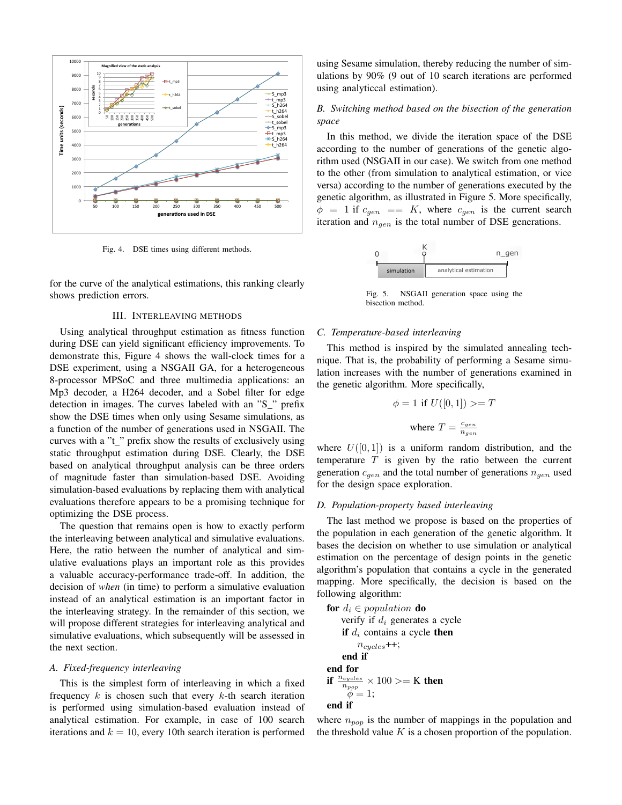

Fig. 4. DSE times using different methods.

for the curve of the analytical estimations, this ranking clearly shows prediction errors.

## III. INTERLEAVING METHODS

Using analytical throughput estimation as fitness function during DSE can yield significant efficiency improvements. To demonstrate this, Figure 4 shows the wall-clock times for a DSE experiment, using a NSGAII GA, for a heterogeneous 8-processor MPSoC and three multimedia applications: an Mp3 decoder, a H264 decoder, and a Sobel filter for edge detection in images. The curves labeled with an "S " prefix show the DSE times when only using Sesame simulations, as a function of the number of generations used in NSGAII. The curves with a "t\_" prefix show the results of exclusively using static throughput estimation during DSE. Clearly, the DSE based on analytical throughput analysis can be three orders of magnitude faster than simulation-based DSE. Avoiding simulation-based evaluations by replacing them with analytical evaluations therefore appears to be a promising technique for optimizing the DSE process.

The question that remains open is how to exactly perform the interleaving between analytical and simulative evaluations. Here, the ratio between the number of analytical and simulative evaluations plays an important role as this provides a valuable accuracy-performance trade-off. In addition, the decision of *when* (in time) to perform a simulative evaluation instead of an analytical estimation is an important factor in the interleaving strategy. In the remainder of this section, we will propose different strategies for interleaving analytical and simulative evaluations, which subsequently will be assessed in the next section.

## *A. Fixed-frequency interleaving*

This is the simplest form of interleaving in which a fixed frequency  $k$  is chosen such that every  $k$ -th search iteration is performed using simulation-based evaluation instead of analytical estimation. For example, in case of 100 search iterations and  $k = 10$ , every 10th search iteration is performed using Sesame simulation, thereby reducing the number of simulations by 90% (9 out of 10 search iterations are performed using analyticcal estimation).

## *B. Switching method based on the bisection of the generation space*

In this method, we divide the iteration space of the DSE according to the number of generations of the genetic algorithm used (NSGAII in our case). We switch from one method to the other (from simulation to analytical estimation, or vice versa) according to the number of generations executed by the genetic algorithm, as illustrated in Figure 5. More specifically,  $\phi = 1$  if  $c_{gen} = K$ , where  $c_{gen}$  is the current search iteration and  $n_{gen}$  is the total number of DSE generations.



Fig. 5. NSGAII generation space using the bisection method.

#### *C. Temperature-based interleaving*

This method is inspired by the simulated annealing technique. That is, the probability of performing a Sesame simulation increases with the number of generations examined in the genetic algorithm. More specifically,

$$
\phi = 1 \text{ if } U([0,1]) >= T
$$
  
where 
$$
T = \frac{c_{gen}}{n_{gen}}
$$

where  $U([0, 1])$  is a uniform random distribution, and the temperature  $T$  is given by the ratio between the current generation  $c_{gen}$  and the total number of generations  $n_{gen}$  used for the design space exploration.

## *D. Population-property based interleaving*

The last method we propose is based on the properties of the population in each generation of the genetic algorithm. It bases the decision on whether to use simulation or analytical estimation on the percentage of design points in the genetic algorithm's population that contains a cycle in the generated mapping. More specifically, the decision is based on the following algorithm:

**for** 
$$
d_i \in population
$$
 **do**  
verify if  $d_i$  generates a cycle  
if  $d_i$  contains a cycle **then**  
 $n_{cycles}++$ ;  
**end if**  
**end for**  
**if**  $\frac{n_{cycles}}{n_{pop}} \times 100 \gg$  K **then**  
 $\phi = 1$ ;

end if

where  $n_{pop}$  is the number of mappings in the population and the threshold value  $K$  is a chosen proportion of the population.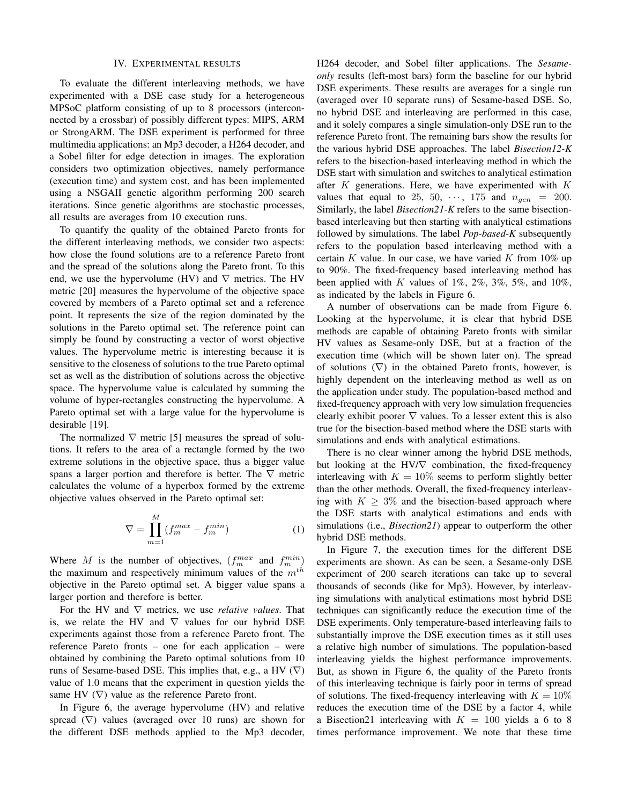#### IV. EXPERIMENTAL RESULTS

To evaluate the different interleaving methods, we have experimented with a DSE case study for a heterogeneous MPSoC platform consisting of up to 8 processors (interconnected by a crossbar) of possibly different types: MIPS, ARM or StrongARM. The DSE experiment is performed for three multimedia applications: an Mp3 decoder, a H264 decoder, and a Sobel filter for edge detection in images. The exploration considers two optimization objectives, namely performance (execution time) and system cost, and has been implemented using a NSGAII genetic algorithm performing 200 search iterations. Since genetic algorithms are stochastic processes, all results are averages from 10 execution runs.

To quantify the quality of the obtained Pareto fronts for the different interleaving methods, we consider two aspects: how close the found solutions are to a reference Pareto front and the spread of the solutions along the Pareto front. To this end, we use the hypervolume (HV) and  $\nabla$  metrics. The HV metric [20] measures the hypervolume of the objective space covered by members of a Pareto optimal set and a reference point. It represents the size of the region dominated by the solutions in the Pareto optimal set. The reference point can simply be found by constructing a vector of worst objective values. The hypervolume metric is interesting because it is sensitive to the closeness of solutions to the true Pareto optimal set as well as the distribution of solutions across the objective space. The hypervolume value is calculated by summing the volume of hyper-rectangles constructing the hypervolume. A Pareto optimal set with a large value for the hypervolume is desirable [19].

The normalized  $\nabla$  metric [5] measures the spread of solutions. It refers to the area of a rectangle formed by the two extreme solutions in the objective space, thus a bigger value spans a larger portion and therefore is better. The  $\nabla$  metric calculates the volume of a hyperbox formed by the extreme objective values observed in the Pareto optimal set:

$$
\nabla = \prod_{m=1}^{M} (f_m^{max} - f_m^{min})
$$
 (1)

Where M is the number of objectives,  $(f_m^{max}$  and  $f_m^{min})$ the maximum and respectively minimum values of the  $m<sup>th</sup>$ objective in the Pareto optimal set. A bigger value spans a larger portion and therefore is better.

For the HV and ∇ metrics, we use *relative values*. That is, we relate the HV and  $\nabla$  values for our hybrid DSE experiments against those from a reference Pareto front. The reference Pareto fronts – one for each application – were obtained by combining the Pareto optimal solutions from 10 runs of Sesame-based DSE. This implies that, e.g., a HV  $(\nabla)$ value of 1.0 means that the experiment in question yields the same HV  $(\nabla)$  value as the reference Pareto front.

In Figure 6, the average hypervolume (HV) and relative spread  $(\nabla)$  values (averaged over 10 runs) are shown for the different DSE methods applied to the Mp3 decoder, H264 decoder, and Sobel filter applications. The *Sesameonly* results (left-most bars) form the baseline for our hybrid DSE experiments. These results are averages for a single run (averaged over 10 separate runs) of Sesame-based DSE. So, no hybrid DSE and interleaving are performed in this case, and it solely compares a single simulation-only DSE run to the reference Pareto front. The remaining bars show the results for the various hybrid DSE approaches. The label *Bisection12-K* refers to the bisection-based interleaving method in which the DSE start with simulation and switches to analytical estimation after  $K$  generations. Here, we have experimented with  $K$ values that equal to 25, 50,  $\cdots$ , 175 and  $n_{gen} = 200$ . Similarly, the label *Bisection21-K* refers to the same bisectionbased interleaving but then starting with analytical estimations followed by simulations. The label *Pop-based-K* subsequently refers to the population based interleaving method with a certain  $K$  value. In our case, we have varied  $K$  from 10% up to 90%. The fixed-frequency based interleaving method has been applied with K values of  $1\%$ ,  $2\%$ ,  $3\%$ ,  $5\%$ , and  $10\%$ , as indicated by the labels in Figure 6.

A number of observations can be made from Figure 6. Looking at the hypervolume, it is clear that hybrid DSE methods are capable of obtaining Pareto fronts with similar HV values as Sesame-only DSE, but at a fraction of the execution time (which will be shown later on). The spread of solutions  $(\nabla)$  in the obtained Pareto fronts, however, is highly dependent on the interleaving method as well as on the application under study. The population-based method and fixed-frequency approach with very low simulation frequencies clearly exhibit poorer  $\nabla$  values. To a lesser extent this is also true for the bisection-based method where the DSE starts with simulations and ends with analytical estimations.

There is no clear winner among the hybrid DSE methods, but looking at the HV/ $\nabla$  combination, the fixed-frequency interleaving with  $K = 10\%$  seems to perform slightly better than the other methods. Overall, the fixed-frequency interleaving with  $K > 3\%$  and the bisection-based approach where the DSE starts with analytical estimations and ends with simulations (i.e., *Bisection21*) appear to outperform the other hybrid DSE methods.

In Figure 7, the execution times for the different DSE experiments are shown. As can be seen, a Sesame-only DSE experiment of 200 search iterations can take up to several thousands of seconds (like for Mp3). However, by interleaving simulations with analytical estimations most hybrid DSE techniques can significantly reduce the execution time of the DSE experiments. Only temperature-based interleaving fails to substantially improve the DSE execution times as it still uses a relative high number of simulations. The population-based interleaving yields the highest performance improvements. But, as shown in Figure 6, the quality of the Pareto fronts of this interleaving technique is fairly poor in terms of spread of solutions. The fixed-frequency interleaving with  $K = 10\%$ reduces the execution time of the DSE by a factor 4, while a Bisection21 interleaving with  $K = 100$  yields a 6 to 8 times performance improvement. We note that these time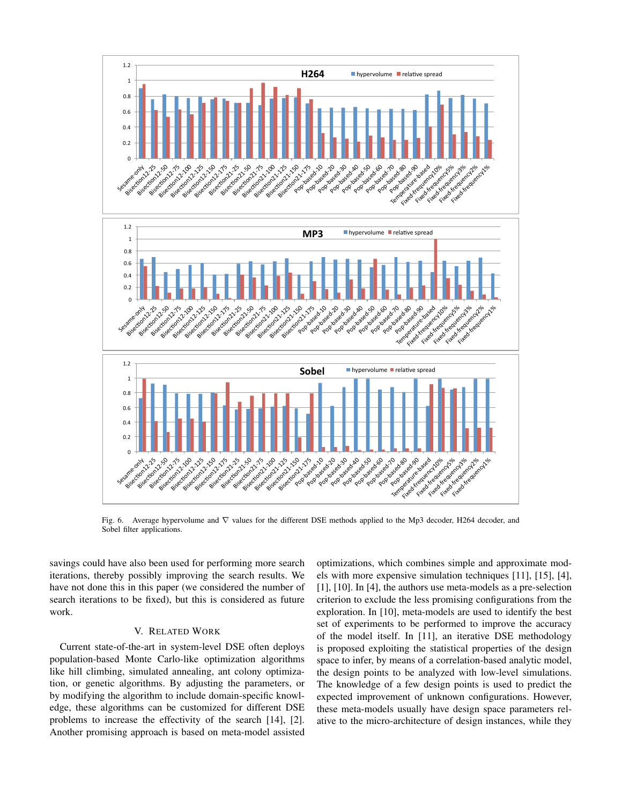

Fig. 6. Average hypervolume and ∇ values for the different DSE methods applied to the Mp3 decoder, H264 decoder, and Sobel filter applications.

savings could have also been used for performing more search iterations, thereby possibly improving the search results. We have not done this in this paper (we considered the number of search iterations to be fixed), but this is considered as future work.

## V. RELATED WORK

Current state-of-the-art in system-level DSE often deploys population-based Monte Carlo-like optimization algorithms like hill climbing, simulated annealing, ant colony optimization, or genetic algorithms. By adjusting the parameters, or by modifying the algorithm to include domain-specific knowledge, these algorithms can be customized for different DSE problems to increase the effectivity of the search [14], [2]. Another promising approach is based on meta-model assisted

optimizations, which combines simple and approximate models with more expensive simulation techniques [11], [15], [4], [1], [10]. In [4], the authors use meta-models as a pre-selection criterion to exclude the less promising configurations from the exploration. In [10], meta-models are used to identify the best set of experiments to be performed to improve the accuracy of the model itself. In [11], an iterative DSE methodology is proposed exploiting the statistical properties of the design space to infer, by means of a correlation-based analytic model, the design points to be analyzed with low-level simulations. The knowledge of a few design points is used to predict the expected improvement of unknown configurations. However, these meta-models usually have design space parameters relative to the micro-architecture of design instances, while they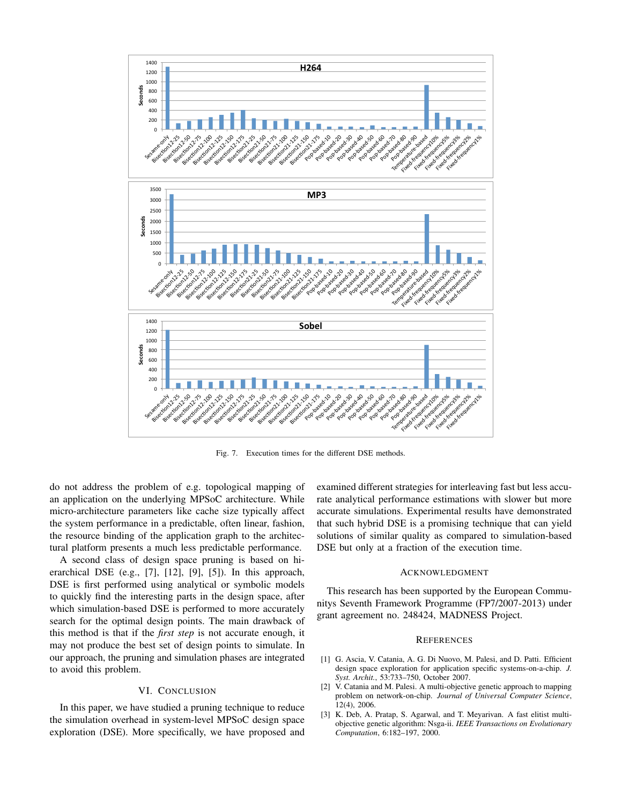

Fig. 7. Execution times for the different DSE methods.

do not address the problem of e.g. topological mapping of an application on the underlying MPSoC architecture. While micro-architecture parameters like cache size typically affect the system performance in a predictable, often linear, fashion, the resource binding of the application graph to the architectural platform presents a much less predictable performance.

A second class of design space pruning is based on hierarchical DSE (e.g., [7], [12], [9], [5]). In this approach, DSE is first performed using analytical or symbolic models to quickly find the interesting parts in the design space, after which simulation-based DSE is performed to more accurately search for the optimal design points. The main drawback of this method is that if the *first step* is not accurate enough, it may not produce the best set of design points to simulate. In our approach, the pruning and simulation phases are integrated to avoid this problem.

## VI. CONCLUSION

In this paper, we have studied a pruning technique to reduce the simulation overhead in system-level MPSoC design space exploration (DSE). More specifically, we have proposed and examined different strategies for interleaving fast but less accurate analytical performance estimations with slower but more accurate simulations. Experimental results have demonstrated that such hybrid DSE is a promising technique that can yield solutions of similar quality as compared to simulation-based DSE but only at a fraction of the execution time.

## ACKNOWLEDGMENT

This research has been supported by the European Communitys Seventh Framework Programme (FP7/2007-2013) under grant agreement no. 248424, MADNESS Project.

#### **REFERENCES**

- [1] G. Ascia, V. Catania, A. G. Di Nuovo, M. Palesi, and D. Patti. Efficient design space exploration for application specific systems-on-a-chip. *J. Syst. Archit.*, 53:733–750, October 2007.
- [2] V. Catania and M. Palesi. A multi-objective genetic approach to mapping problem on network-on-chip. *Journal of Universal Computer Science*, 12(4), 2006.
- [3] K. Deb, A. Pratap, S. Agarwal, and T. Meyarivan. A fast elitist multiobjective genetic algorithm: Nsga-ii. *IEEE Transactions on Evolutionary Computation*, 6:182–197, 2000.